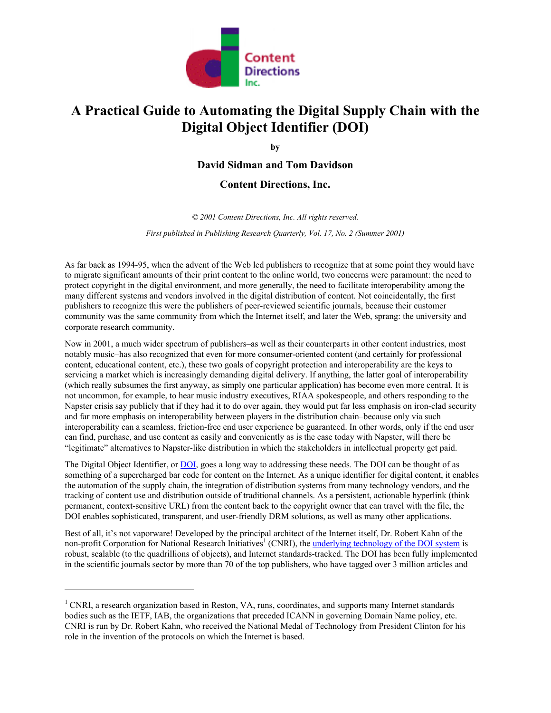

# **A Practical Guide to Automating the Digital Supply Chain with the Digital Object Identifier (DOI)**

**by**

**David Sidman and Tom Davidson**

# **Content Directions, Inc.**

*© 2001 Content Directions, Inc. All rights reserved.*

*First published in Publishing Research Quarterly, Vol. 17, No. 2 (Summer 2001)*

As far back as 1994-95, when the advent of the Web led publishers to recognize that at some point they would have to migrate significant amounts of their print content to the online world, two concerns were paramount: the need to protect copyright in the digital environment, and more generally, the need to facilitate interoperability among the many different systems and vendors involved in the digital distribution of content. Not coincidentally, the first publishers to recognize this were the publishers of peer-reviewed scientific journals, because their customer community was the same community from which the Internet itself, and later the Web, sprang: the university and corporate research community.

Now in 2001, a much wider spectrum of publishers–as well as their counterparts in other content industries, most notably music–has also recognized that even for more consumer-oriented content (and certainly for professional content, educational content, etc.), these two goals of copyright protection and interoperability are the keys to servicing a market which is increasingly demanding digital delivery. If anything, the latter goal of interoperability (which really subsumes the first anyway, as simply one particular application) has become even more central. It is not uncommon, for example, to hear music industry executives, RIAA spokespeople, and others responding to the Napster crisis say publicly that if they had it to do over again, they would put far less emphasis on iron-clad security and far more emphasis on interoperability between players in the distribution chain–because only via such interoperability can a seamless, friction-free end user experience be guaranteed. In other words, only if the end user can find, purchase, and use content as easily and conveniently as is the case today with Napster, will there be "legitimate" alternatives to Napster-like distribution in which the stakeholders in intellectual property get paid.

The Digital Object Identifier, or **DOI**, goes a long way to addressing these needs. The DOI can be thought of as something of a supercharged bar code for content on the Internet. As a unique identifier for digital content, it enables the automation of the supply chain, the integration of distribution systems from many technology vendors, and the tracking of content use and distribution outside of traditional channels. As a persistent, actionable hyperlink (think permanent, context-sensitive URL) from the content back to the copyright owner that can travel with the file, the DOI enables sophisticated, transparent, and user-friendly DRM solutions, as well as many other applications.

Best of all, it's not vaporware! Developed by the principal architect of the Internet itself, Dr. Robert Kahn of the non-profit Corporation for National Research Initiatives<sup>1</sup> (CNRI), the <u>underlying technology of the DOI system</u> is robust, scalable (to the quadrillions of objects), and Internet standards-tracked. The DOI has been fully implemented in the scientific journals sector by more than 70 of the top publishers, who have tagged over 3 million articles and

<sup>&</sup>lt;sup>1</sup> CNRI, a research organization based in Reston, VA, runs, coordinates, and supports many Internet standards bodies such as the IETF, IAB, the organizations that preceded ICANN in governing Domain Name policy, etc. CNRI is run by Dr. Robert Kahn, who received the National Medal of Technology from President Clinton for his role in the invention of the protocols on which the Internet is based.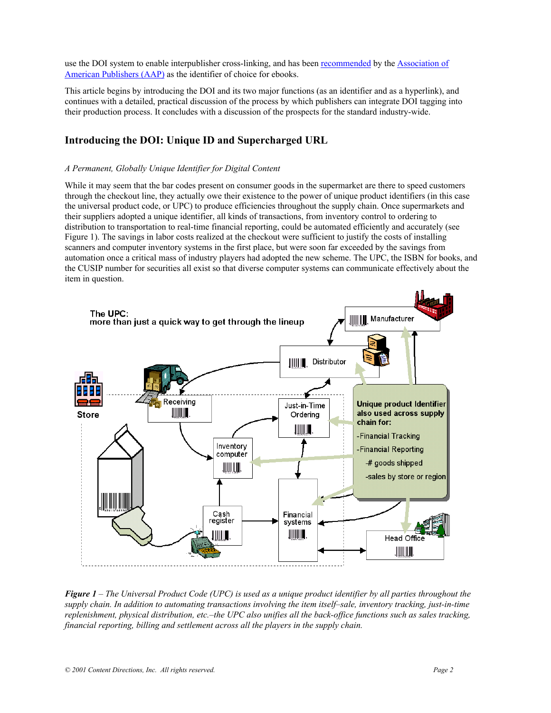use the DOI system to enable interpublisher cross-linking, and has been recommended by the Association of American Publishers (AAP) as the identifier of choice for ebooks.

This article begins by introducing the DOI and its two major functions (as an identifier and as a hyperlink), and continues with a detailed, practical discussion of the process by which publishers can integrate DOI tagging into their production process. It concludes with a discussion of the prospects for the standard industry-wide.

# **Introducing the DOI: Unique ID and Supercharged URL**

## *A Permanent, Globally Unique Identifier for Digital Content*

While it may seem that the bar codes present on consumer goods in the supermarket are there to speed customers through the checkout line, they actually owe their existence to the power of unique product identifiers (in this case the universal product code, or UPC) to produce efficiencies throughout the supply chain. Once supermarkets and their suppliers adopted a unique identifier, all kinds of transactions, from inventory control to ordering to distribution to transportation to real-time financial reporting, could be automated efficiently and accurately (see Figure 1). The savings in labor costs realized at the checkout were sufficient to justify the costs of installing scanners and computer inventory systems in the first place, but were soon far exceeded by the savings from automation once a critical mass of industry players had adopted the new scheme. The UPC, the ISBN for books, and the CUSIP number for securities all exist so that diverse computer systems can communicate effectively about the item in question.



*Figure 1 – The Universal Product Code (UPC) is used as a unique product identifier by all parties throughout the supply chain. In addition to automating transactions involving the item itself–sale, inventory tracking, just-in-time replenishment, physical distribution, etc.–the UPC also unifies all the back-office functions such as sales tracking, financial reporting, billing and settlement across all the players in the supply chain.*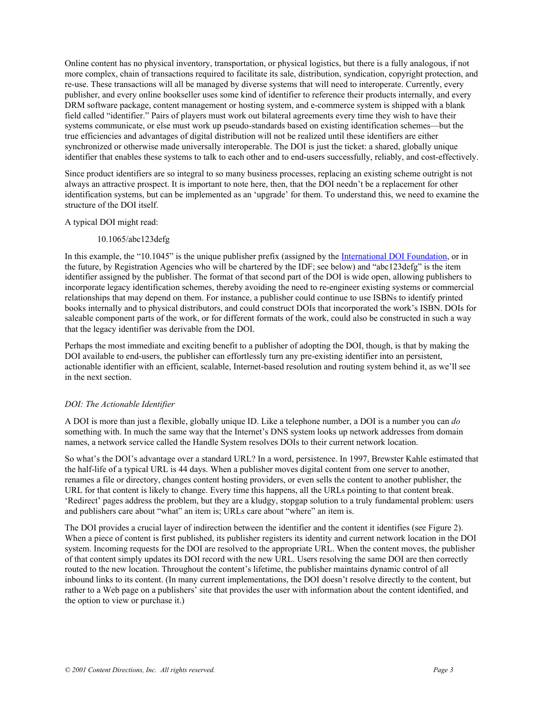Online content has no physical inventory, transportation, or physical logistics, but there is a fully analogous, if not more complex, chain of transactions required to facilitate its sale, distribution, syndication, copyright protection, and re-use. These transactions will all be managed by diverse systems that will need to interoperate. Currently, every publisher, and every online bookseller uses some kind of identifier to reference their products internally, and every DRM software package, content management or hosting system, and e-commerce system is shipped with a blank field called "identifier." Pairs of players must work out bilateral agreements every time they wish to have their systems communicate, or else must work up pseudo-standards based on existing identification schemes—but the true efficiencies and advantages of digital distribution will not be realized until these identifiers are either synchronized or otherwise made universally interoperable. The DOI is just the ticket: a shared, globally unique identifier that enables these systems to talk to each other and to end-users successfully, reliably, and cost-effectively.

Since product identifiers are so integral to so many business processes, replacing an existing scheme outright is not always an attractive prospect. It is important to note here, then, that the DOI needn't be a replacement for other identification systems, but can be implemented as an 'upgrade' for them. To understand this, we need to examine the structure of the DOI itself.

#### A typical DOI might read:

#### 10.1065/abc123defg

In this example, the "10.1045" is the unique publisher prefix (assigned by the International DOI Foundation, or in the future, by Registration Agencies who will be chartered by the IDF; see below) and "abc123defg" is the item identifier assigned by the publisher. The format of that second part of the DOI is wide open, allowing publishers to incorporate legacy identification schemes, thereby avoiding the need to re-engineer existing systems or commercial relationships that may depend on them. For instance, a publisher could continue to use ISBNs to identify printed books internally and to physical distributors, and could construct DOIs that incorporated the work's ISBN. DOIs for saleable component parts of the work, or for different formats of the work, could also be constructed in such a way that the legacy identifier was derivable from the DOI.

Perhaps the most immediate and exciting benefit to a publisher of adopting the DOI, though, is that by making the DOI available to end-users, the publisher can effortlessly turn any pre-existing identifier into an persistent, actionable identifier with an efficient, scalable, Internet-based resolution and routing system behind it, as we'll see in the next section.

#### *DOI: The Actionable Identifier*

A DOI is more than just a flexible, globally unique ID. Like a telephone number, a DOI is a number you can *do* something with. In much the same way that the Internet's DNS system looks up network addresses from domain names, a network service called the Handle System resolves DOIs to their current network location.

So what's the DOI's advantage over a standard URL? In a word, persistence. In 1997, Brewster Kahle estimated that the half-life of a typical URL is 44 days. When a publisher moves digital content from one server to another, renames a file or directory, changes content hosting providers, or even sells the content to another publisher, the URL for that content is likely to change. Every time this happens, all the URLs pointing to that content break. 'Redirect' pages address the problem, but they are a kludgy, stopgap solution to a truly fundamental problem: users and publishers care about "what" an item is; URLs care about "where" an item is.

The DOI provides a crucial layer of indirection between the identifier and the content it identifies (see Figure 2). When a piece of content is first published, its publisher registers its identity and current network location in the DOI system. Incoming requests for the DOI are resolved to the appropriate URL. When the content moves, the publisher of that content simply updates its DOI record with the new URL. Users resolving the same DOI are then correctly routed to the new location. Throughout the content's lifetime, the publisher maintains dynamic control of all inbound links to its content. (In many current implementations, the DOI doesn't resolve directly to the content, but rather to a Web page on a publishers' site that provides the user with information about the content identified, and the option to view or purchase it.)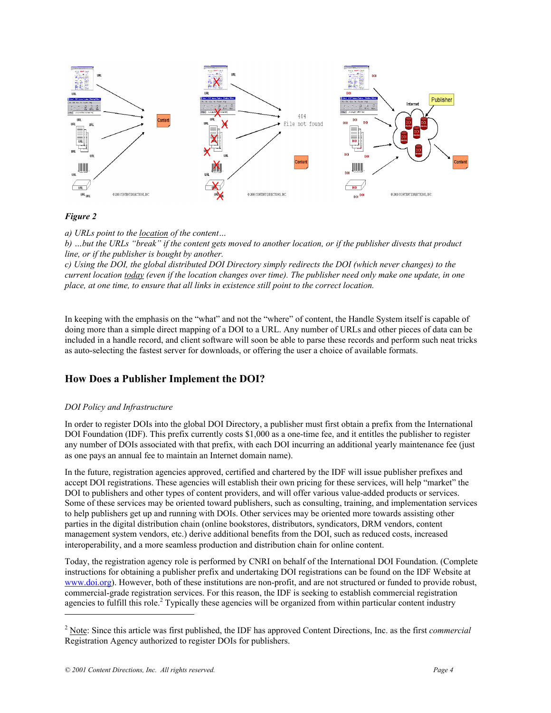

## *Figure 2*

*a) URLs point to the location of the content…*

*b) …but the URLs "break" if the content gets moved to another location, or if the publisher divests that product line, or if the publisher is bought by another.*

*c) Using the DOI, the global distributed DOI Directory simply redirects the DOI (which never changes) to the current location today (even if the location changes over time). The publisher need only make one update, in one place, at one time, to ensure that all links in existence still point to the correct location.*

In keeping with the emphasis on the "what" and not the "where" of content, the Handle System itself is capable of doing more than a simple direct mapping of a DOI to a URL. Any number of URLs and other pieces of data can be included in a handle record, and client software will soon be able to parse these records and perform such neat tricks as auto-selecting the fastest server for downloads, or offering the user a choice of available formats.

# **How Does a Publisher Implement the DOI?**

#### *DOI Policy and Infrastructure*

In order to register DOIs into the global DOI Directory, a publisher must first obtain a prefix from the International DOI Foundation (IDF). This prefix currently costs \$1,000 as a one-time fee, and it entitles the publisher to register any number of DOIs associated with that prefix, with each DOI incurring an additional yearly maintenance fee (just as one pays an annual fee to maintain an Internet domain name).

In the future, registration agencies approved, certified and chartered by the IDF will issue publisher prefixes and accept DOI registrations. These agencies will establish their own pricing for these services, will help "market" the DOI to publishers and other types of content providers, and will offer various value-added products or services. Some of these services may be oriented toward publishers, such as consulting, training, and implementation services to help publishers get up and running with DOIs. Other services may be oriented more towards assisting other parties in the digital distribution chain (online bookstores, distributors, syndicators, DRM vendors, content management system vendors, etc.) derive additional benefits from the DOI, such as reduced costs, increased interoperability, and a more seamless production and distribution chain for online content.

Today, the registration agency role is performed by CNRI on behalf of the International DOI Foundation. (Complete instructions for obtaining a publisher prefix and undertaking DOI registrations can be found on the IDF Website at www.doi.org). However, both of these institutions are non-profit, and are not structured or funded to provide robust, commercial-grade registration services. For this reason, the IDF is seeking to establish commercial registration agencies to fulfill this role.<sup>2</sup> Typically these agencies will be organized from within particular content industry

<sup>&</sup>lt;sup>2</sup> Note: Since this article was first published, the IDF has approved Content Directions, Inc. as the first *commercial* Registration Agency authorized to register DOIs for publishers.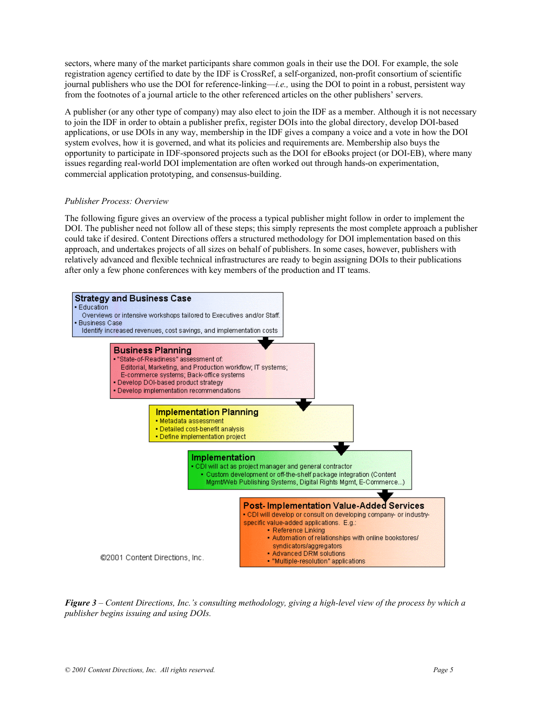sectors, where many of the market participants share common goals in their use the DOI. For example, the sole registration agency certified to date by the IDF is CrossRef, a self-organized, non-profit consortium of scientific journal publishers who use the DOI for reference-linking—*i.e.,* using the DOI to point in a robust, persistent way from the footnotes of a journal article to the other referenced articles on the other publishers' servers.

A publisher (or any other type of company) may also elect to join the IDF as a member. Although it is not necessary to join the IDF in order to obtain a publisher prefix, register DOIs into the global directory, develop DOI-based applications, or use DOIs in any way, membership in the IDF gives a company a voice and a vote in how the DOI system evolves, how it is governed, and what its policies and requirements are. Membership also buys the opportunity to participate in IDF-sponsored projects such as the DOI for eBooks project (or DOI-EB), where many issues regarding real-world DOI implementation are often worked out through hands-on experimentation, commercial application prototyping, and consensus-building.

## *Publisher Process: Overview*

The following figure gives an overview of the process a typical publisher might follow in order to implement the DOI. The publisher need not follow all of these steps; this simply represents the most complete approach a publisher could take if desired. Content Directions offers a structured methodology for DOI implementation based on this approach, and undertakes projects of all sizes on behalf of publishers. In some cases, however, publishers with relatively advanced and flexible technical infrastructures are ready to begin assigning DOIs to their publications after only a few phone conferences with key members of the production and IT teams.



*Figure 3 – Content Directions, Inc.'s consulting methodology, giving a high-level view of the process by which a publisher begins issuing and using DOIs.*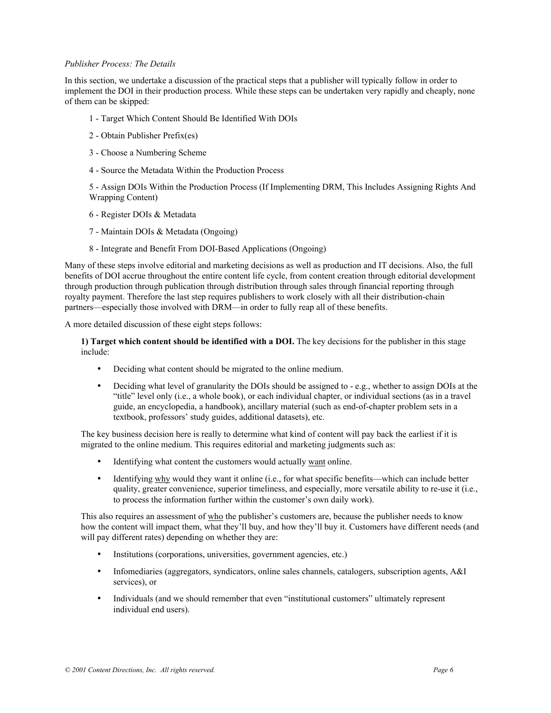## *Publisher Process: The Details*

In this section, we undertake a discussion of the practical steps that a publisher will typically follow in order to implement the DOI in their production process. While these steps can be undertaken very rapidly and cheaply, none of them can be skipped:

- 1 Target Which Content Should Be Identified With DOIs
- 2 Obtain Publisher Prefix(es)
- 3 Choose a Numbering Scheme
- 4 Source the Metadata Within the Production Process

5 - Assign DOIs Within the Production Process (If Implementing DRM, This Includes Assigning Rights And Wrapping Content)

- 6 Register DOIs & Metadata
- 7 Maintain DOIs & Metadata (Ongoing)
- 8 Integrate and Benefit From DOI-Based Applications (Ongoing)

Many of these steps involve editorial and marketing decisions as well as production and IT decisions. Also, the full benefits of DOI accrue throughout the entire content life cycle, from content creation through editorial development through production through publication through distribution through sales through financial reporting through royalty payment. Therefore the last step requires publishers to work closely with all their distribution-chain partners—especially those involved with DRM—in order to fully reap all of these benefits.

A more detailed discussion of these eight steps follows:

**1) Target which content should be identified with a DOI.** The key decisions for the publisher in this stage include:

- Deciding what content should be migrated to the online medium.
- Deciding what level of granularity the DOIs should be assigned to e.g., whether to assign DOIs at the "title" level only (i.e., a whole book), or each individual chapter, or individual sections (as in a travel guide, an encyclopedia, a handbook), ancillary material (such as end-of-chapter problem sets in a textbook, professors' study guides, additional datasets), etc.

The key business decision here is really to determine what kind of content will pay back the earliest if it is migrated to the online medium. This requires editorial and marketing judgments such as:

- Identifying what content the customers would actually want online.
- Identifying why would they want it online (i.e., for what specific benefits—which can include better quality, greater convenience, superior timeliness, and especially, more versatile ability to re-use it (i.e., to process the information further within the customer's own daily work).

This also requires an assessment of who the publisher's customers are, because the publisher needs to know how the content will impact them, what they'll buy, and how they'll buy it. Customers have different needs (and will pay different rates) depending on whether they are:

- Institutions (corporations, universities, government agencies, etc.)
- Infomediaries (aggregators, syndicators, online sales channels, catalogers, subscription agents, A&I services), or
- Individuals (and we should remember that even "institutional customers" ultimately represent individual end users).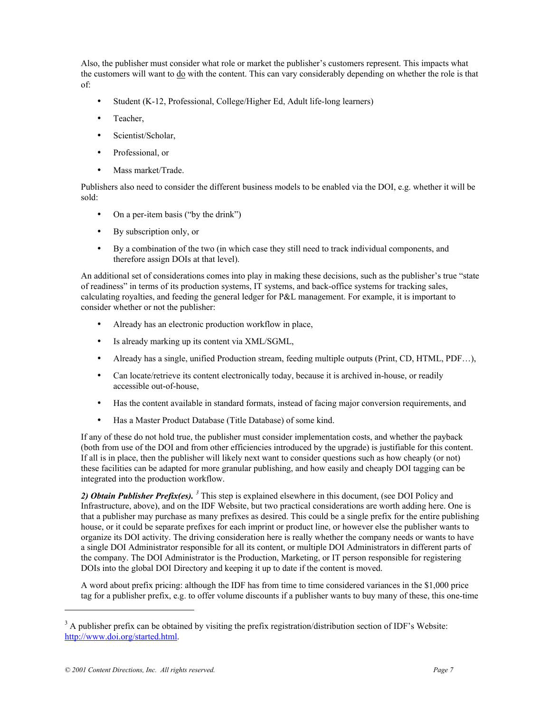Also, the publisher must consider what role or market the publisher's customers represent. This impacts what the customers will want to do with the content. This can vary considerably depending on whether the role is that of:

- Student (K-12, Professional, College/Higher Ed, Adult life-long learners)
- Teacher,
- Scientist/Scholar,
- Professional, or
- Mass market/Trade.

Publishers also need to consider the different business models to be enabled via the DOI, e.g. whether it will be sold:

- On a per-item basis ("by the drink")
- By subscription only, or
- By a combination of the two (in which case they still need to track individual components, and therefore assign DOIs at that level).

An additional set of considerations comes into play in making these decisions, such as the publisher's true "state of readiness" in terms of its production systems, IT systems, and back-office systems for tracking sales, calculating royalties, and feeding the general ledger for P&L management. For example, it is important to consider whether or not the publisher:

- Already has an electronic production workflow in place,
- Is already marking up its content via XML/SGML,
- Already has a single, unified Production stream, feeding multiple outputs (Print, CD, HTML, PDF...),
- Can locate/retrieve its content electronically today, because it is archived in-house, or readily accessible out-of-house,
- Has the content available in standard formats, instead of facing major conversion requirements, and
- Has a Master Product Database (Title Database) of some kind.

If any of these do not hold true, the publisher must consider implementation costs, and whether the payback (both from use of the DOI and from other efficiencies introduced by the upgrade) is justifiable for this content. If all is in place, then the publisher will likely next want to consider questions such as how cheaply (or not) these facilities can be adapted for more granular publishing, and how easily and cheaply DOI tagging can be integrated into the production workflow.

2) Obtain Publisher Prefix(es).<sup>3</sup> This step is explained elsewhere in this document, (see DOI Policy and Infrastructure, above), and on the IDF Website, but two practical considerations are worth adding here. One is that a publisher may purchase as many prefixes as desired. This could be a single prefix for the entire publishing house, or it could be separate prefixes for each imprint or product line, or however else the publisher wants to organize its DOI activity. The driving consideration here is really whether the company needs or wants to have a single DOI Administrator responsible for all its content, or multiple DOI Administrators in different parts of the company. The DOI Administrator is the Production, Marketing, or IT person responsible for registering DOIs into the global DOI Directory and keeping it up to date if the content is moved.

A word about prefix pricing: although the IDF has from time to time considered variances in the \$1,000 price tag for a publisher prefix, e.g. to offer volume discounts if a publisher wants to buy many of these, this one-time

 $3$  A publisher prefix can be obtained by visiting the prefix registration/distribution section of IDF's Website: http://www.doi.org/started.html.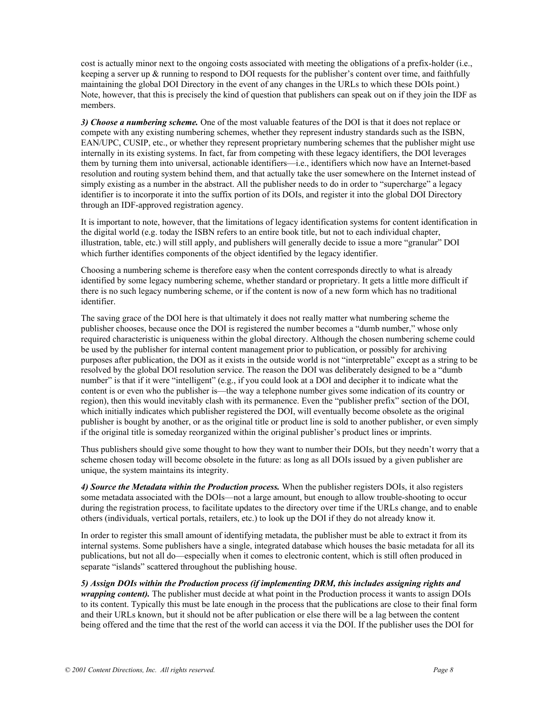cost is actually minor next to the ongoing costs associated with meeting the obligations of a prefix-holder (i.e., keeping a server up & running to respond to DOI requests for the publisher's content over time, and faithfully maintaining the global DOI Directory in the event of any changes in the URLs to which these DOIs point.) Note, however, that this is precisely the kind of question that publishers can speak out on if they join the IDF as members.

*3) Choose a numbering scheme.* One of the most valuable features of the DOI is that it does not replace or compete with any existing numbering schemes, whether they represent industry standards such as the ISBN, EAN/UPC, CUSIP, etc., or whether they represent proprietary numbering schemes that the publisher might use internally in its existing systems. In fact, far from competing with these legacy identifiers, the DOI leverages them by turning them into universal, actionable identifiers—i.e., identifiers which now have an Internet-based resolution and routing system behind them, and that actually take the user somewhere on the Internet instead of simply existing as a number in the abstract. All the publisher needs to do in order to "supercharge" a legacy identifier is to incorporate it into the suffix portion of its DOIs, and register it into the global DOI Directory through an IDF-approved registration agency.

It is important to note, however, that the limitations of legacy identification systems for content identification in the digital world (e.g. today the ISBN refers to an entire book title, but not to each individual chapter, illustration, table, etc.) will still apply, and publishers will generally decide to issue a more "granular" DOI which further identifies components of the object identified by the legacy identifier.

Choosing a numbering scheme is therefore easy when the content corresponds directly to what is already identified by some legacy numbering scheme, whether standard or proprietary. It gets a little more difficult if there is no such legacy numbering scheme, or if the content is now of a new form which has no traditional identifier.

The saving grace of the DOI here is that ultimately it does not really matter what numbering scheme the publisher chooses, because once the DOI is registered the number becomes a "dumb number," whose only required characteristic is uniqueness within the global directory. Although the chosen numbering scheme could be used by the publisher for internal content management prior to publication, or possibly for archiving purposes after publication, the DOI as it exists in the outside world is not "interpretable" except as a string to be resolved by the global DOI resolution service. The reason the DOI was deliberately designed to be a "dumb number" is that if it were "intelligent" (e.g., if you could look at a DOI and decipher it to indicate what the content is or even who the publisher is—the way a telephone number gives some indication of its country or region), then this would inevitably clash with its permanence. Even the "publisher prefix" section of the DOI, which initially indicates which publisher registered the DOI, will eventually become obsolete as the original publisher is bought by another, or as the original title or product line is sold to another publisher, or even simply if the original title is someday reorganized within the original publisher's product lines or imprints.

Thus publishers should give some thought to how they want to number their DOIs, but they needn't worry that a scheme chosen today will become obsolete in the future: as long as all DOIs issued by a given publisher are unique, the system maintains its integrity.

*4) Source the Metadata within the Production process.* When the publisher registers DOIs, it also registers some metadata associated with the DOIs—not a large amount, but enough to allow trouble-shooting to occur during the registration process, to facilitate updates to the directory over time if the URLs change, and to enable others (individuals, vertical portals, retailers, etc.) to look up the DOI if they do not already know it.

In order to register this small amount of identifying metadata, the publisher must be able to extract it from its internal systems. Some publishers have a single, integrated database which houses the basic metadata for all its publications, but not all do—especially when it comes to electronic content, which is still often produced in separate "islands" scattered throughout the publishing house.

*5) Assign DOIs within the Production process (if implementing DRM, this includes assigning rights and wrapping content).* The publisher must decide at what point in the Production process it wants to assign DOIs to its content. Typically this must be late enough in the process that the publications are close to their final form and their URLs known, but it should not be after publication or else there will be a lag between the content being offered and the time that the rest of the world can access it via the DOI. If the publisher uses the DOI for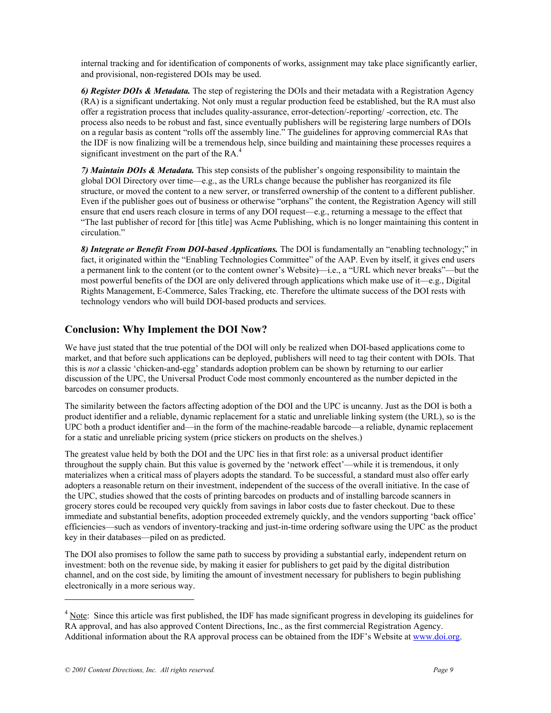internal tracking and for identification of components of works, assignment may take place significantly earlier, and provisional, non-registered DOIs may be used.

*6) Register DOIs & Metadata.* The step of registering the DOIs and their metadata with a Registration Agency (RA) is a significant undertaking. Not only must a regular production feed be established, but the RA must also offer a registration process that includes quality-assurance, error-detection/-reporting/ -correction, etc. The process also needs to be robust and fast, since eventually publishers will be registering large numbers of DOIs on a regular basis as content "rolls off the assembly line." The guidelines for approving commercial RAs that the IDF is now finalizing will be a tremendous help, since building and maintaining these processes requires a significant investment on the part of the RA.<sup>4</sup>

*7) Maintain DOIs & Metadata.* This step consists of the publisher's ongoing responsibility to maintain the global DOI Directory over time—e.g., as the URLs change because the publisher has reorganized its file structure, or moved the content to a new server, or transferred ownership of the content to a different publisher. Even if the publisher goes out of business or otherwise "orphans" the content, the Registration Agency will still ensure that end users reach closure in terms of any DOI request—e.g., returning a message to the effect that "The last publisher of record for [this title] was Acme Publishing, which is no longer maintaining this content in circulation."

*8) Integrate or Benefit From DOI-based Applications.* The DOI is fundamentally an "enabling technology;" in fact, it originated within the "Enabling Technologies Committee" of the AAP. Even by itself, it gives end users a permanent link to the content (or to the content owner's Website)—i.e., a "URL which never breaks"—but the most powerful benefits of the DOI are only delivered through applications which make use of it—e.g., Digital Rights Management, E-Commerce, Sales Tracking, etc. Therefore the ultimate success of the DOI rests with technology vendors who will build DOI-based products and services.

# **Conclusion: Why Implement the DOI Now?**

We have just stated that the true potential of the DOI will only be realized when DOI-based applications come to market, and that before such applications can be deployed, publishers will need to tag their content with DOIs. That this is *not* a classic 'chicken-and-egg' standards adoption problem can be shown by returning to our earlier discussion of the UPC, the Universal Product Code most commonly encountered as the number depicted in the barcodes on consumer products.

The similarity between the factors affecting adoption of the DOI and the UPC is uncanny. Just as the DOI is both a product identifier and a reliable, dynamic replacement for a static and unreliable linking system (the URL), so is the UPC both a product identifier and—in the form of the machine-readable barcode—a reliable, dynamic replacement for a static and unreliable pricing system (price stickers on products on the shelves.)

The greatest value held by both the DOI and the UPC lies in that first role: as a universal product identifier throughout the supply chain. But this value is governed by the 'network effect'—while it is tremendous, it only materializes when a critical mass of players adopts the standard. To be successful, a standard must also offer early adopters a reasonable return on their investment, independent of the success of the overall initiative. In the case of the UPC, studies showed that the costs of printing barcodes on products and of installing barcode scanners in grocery stores could be recouped very quickly from savings in labor costs due to faster checkout. Due to these immediate and substantial benefits, adoption proceeded extremely quickly, and the vendors supporting 'back office' efficiencies—such as vendors of inventory-tracking and just-in-time ordering software using the UPC as the product key in their databases—piled on as predicted.

The DOI also promises to follow the same path to success by providing a substantial early, independent return on investment: both on the revenue side, by making it easier for publishers to get paid by the digital distribution channel, and on the cost side, by limiting the amount of investment necessary for publishers to begin publishing electronically in a more serious way.

 $4 \text{ Note}$ : Since this article was first published, the IDF has made significant progress in developing its guidelines for RA approval, and has also approved Content Directions, Inc., as the first commercial Registration Agency. Additional information about the RA approval process can be obtained from the IDF's Website at www.doi.org.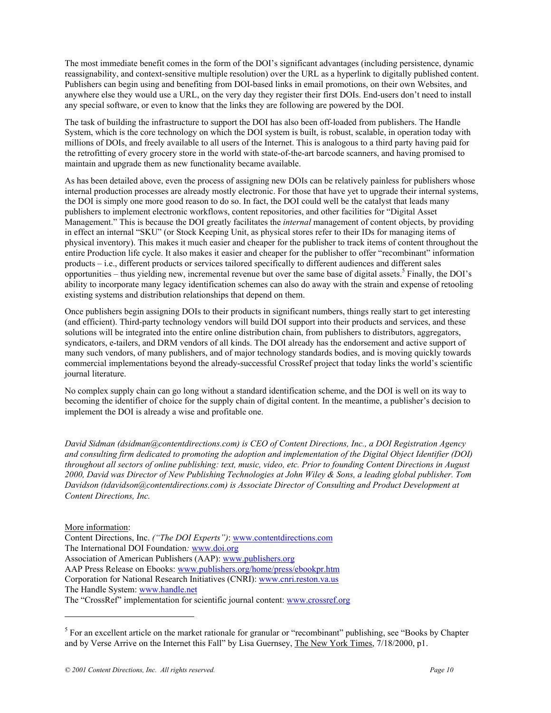The most immediate benefit comes in the form of the DOI's significant advantages (including persistence, dynamic reassignability, and context-sensitive multiple resolution) over the URL as a hyperlink to digitally published content. Publishers can begin using and benefiting from DOI-based links in email promotions, on their own Websites, and anywhere else they would use a URL, on the very day they register their first DOIs. End-users don't need to install any special software, or even to know that the links they are following are powered by the DOI.

The task of building the infrastructure to support the DOI has also been off-loaded from publishers. The Handle System, which is the core technology on which the DOI system is built, is robust, scalable, in operation today with millions of DOIs, and freely available to all users of the Internet. This is analogous to a third party having paid for the retrofitting of every grocery store in the world with state-of-the-art barcode scanners, and having promised to maintain and upgrade them as new functionality became available.

As has been detailed above, even the process of assigning new DOIs can be relatively painless for publishers whose internal production processes are already mostly electronic. For those that have yet to upgrade their internal systems, the DOI is simply one more good reason to do so. In fact, the DOI could well be the catalyst that leads many publishers to implement electronic workflows, content repositories, and other facilities for "Digital Asset Management." This is because the DOI greatly facilitates the *internal* management of content objects, by providing in effect an internal "SKU" (or Stock Keeping Unit, as physical stores refer to their IDs for managing items of physical inventory). This makes it much easier and cheaper for the publisher to track items of content throughout the entire Production life cycle. It also makes it easier and cheaper for the publisher to offer "recombinant" information products – i.e., different products or services tailored specifically to different audiences and different sales opportunities – thus yielding new, incremental revenue but over the same base of digital assets.<sup>5</sup> Finally, the DOI's ability to incorporate many legacy identification schemes can also do away with the strain and expense of retooling existing systems and distribution relationships that depend on them.

Once publishers begin assigning DOIs to their products in significant numbers, things really start to get interesting (and efficient). Third-party technology vendors will build DOI support into their products and services, and these solutions will be integrated into the entire online distribution chain, from publishers to distributors, aggregators, syndicators, e-tailers, and DRM vendors of all kinds. The DOI already has the endorsement and active support of many such vendors, of many publishers, and of major technology standards bodies, and is moving quickly towards commercial implementations beyond the already-successful CrossRef project that today links the world's scientific journal literature.

No complex supply chain can go long without a standard identification scheme, and the DOI is well on its way to becoming the identifier of choice for the supply chain of digital content. In the meantime, a publisher's decision to implement the DOI is already a wise and profitable one.

*David Sidman (dsidman@contentdirections.com) is CEO of Content Directions, Inc., a DOI Registration Agency and consulting firm dedicated to promoting the adoption and implementation of the Digital Object Identifier (DOI) throughout all sectors of online publishing: text, music, video, etc. Prior to founding Content Directions in August 2000, David was Director of New Publishing Technologies at John Wiley & Sons, a leading global publisher. Tom Davidson (tdavidson@contentdirections.com) is Associate Director of Consulting and Product Development at Content Directions, Inc.*

More information:

 $\overline{a}$ 

Content Directions, Inc. *("The DOI Experts")*: www.contentdirections.com The International DOI Foundation*:* www.doi.org Association of American Publishers (AAP): www.publishers.org AAP Press Release on Ebooks: www.publishers.org/home/press/ebookpr.htm Corporation for National Research Initiatives (CNRI): www.cnri.reston.va.us The Handle System: www.handle.net The "CrossRef" implementation for scientific journal content: www.crossref.org

 $<sup>5</sup>$  For an excellent article on the market rationale for granular or "recombinant" publishing, see "Books by Chapter</sup> and by Verse Arrive on the Internet this Fall" by Lisa Guernsey, The New York Times, 7/18/2000, p1.